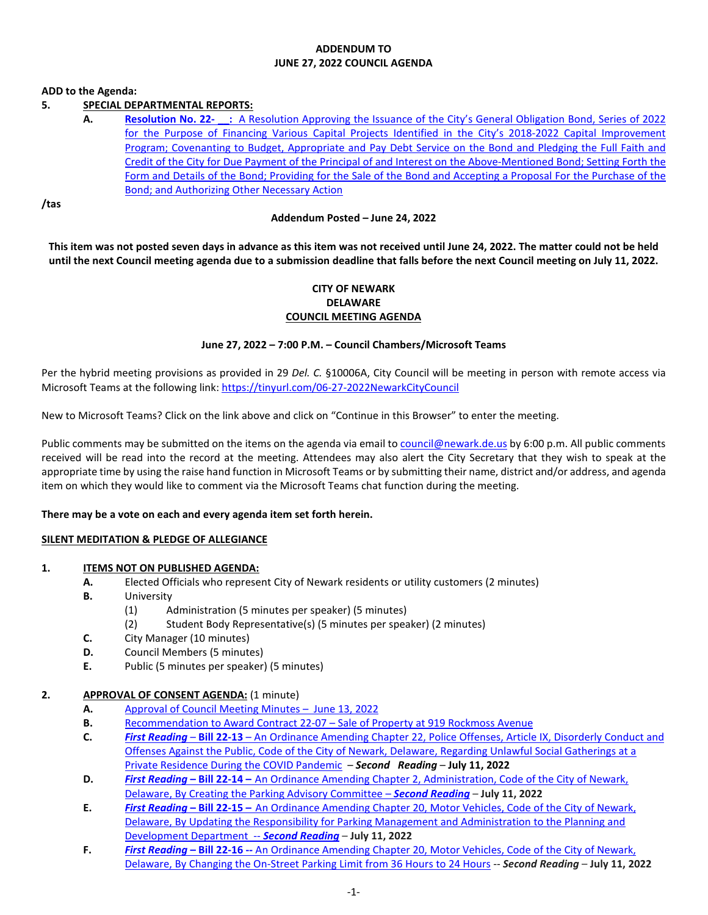#### **ADDENDUM TO JUNE 27, 2022 COUNCIL AGENDA**

#### **ADD to the Agenda:**

# **5. SPECIAL DEPARTMENTAL REPORTS:**

## **A. Resolution No. 22- \_\_:** [A Resolution Approving the Issuance of the City's General Obligation Bond, Series of 2022](https://newarkde.gov/DocumentCenter/View/16264/5A)  for the Purpose of Financing Various Capital Projects Identified in the City's 2018-2022 Capital Improvement [Program; Covenanting to Budget, Appropriate and Pay Debt Service on the Bond and Pledging the Full Faith and](https://newarkde.gov/DocumentCenter/View/16264/5A)  [Credit of the City for Due Payment of the Principal of and Interest on the Above-Mentioned Bond; Setting Forth the](https://newarkde.gov/DocumentCenter/View/16264/5A)  [Form and Details of the Bond; Providing for the Sale of the Bond and Accepting a Proposal For the Purchase of the](https://newarkde.gov/DocumentCenter/View/16264/5A)  [Bond; and Authorizing Other Necessary Action](https://newarkde.gov/DocumentCenter/View/16264/5A)

**/tas**

#### **Addendum Posted – June 24, 2022**

**This item was not posted seven days in advance as this item was not received until June 24, 2022. The matter could not be held until the next Council meeting agenda due to a submission deadline that falls before the next Council meeting on July 11, 2022.**

## **CITY OF NEWARK DELAWARE COUNCIL MEETING AGENDA**

#### **June 27, 2022 – 7:00 P.M. – Council Chambers/Microsoft Teams**

Per the hybrid meeting provisions as provided in 29 *Del. C.* §10006A, City Council will be meeting in person with remote access via Microsoft Teams at the following link: <https://tinyurl.com/06-27-2022NewarkCityCouncil>

New to Microsoft Teams? Click on the link above and click on "Continue in this Browser" to enter the meeting.

Public comments may be submitted on the items on the agenda via email t[o council@newark.de.us](mailto:council@newark.de.us) by 6:00 p.m. All public comments received will be read into the record at the meeting. Attendees may also alert the City Secretary that they wish to speak at the appropriate time by using the raise hand function in Microsoft Teams or by submitting their name, district and/or address, and agenda item on which they would like to comment via the Microsoft Teams chat function during the meeting.

#### **There may be a vote on each and every agenda item set forth herein.**

#### **SILENT MEDITATION & PLEDGE OF ALLEGIANCE**

#### **1. ITEMS NOT ON PUBLISHED AGENDA:**

- **A.** Elected Officials who represent City of Newark residents or utility customers (2 minutes)
- **B.** University
	- (1) Administration (5 minutes per speaker) (5 minutes)
	- (2) Student Body Representative(s) (5 minutes per speaker) (2 minutes)
- **C.** City Manager (10 minutes)
- **D.** Council Members (5 minutes)
- **E.** Public (5 minutes per speaker) (5 minutes)

#### **2. APPROVAL OF CONSENT AGENDA:** (1 minute)

- **A.** [Approval of Council](https://newarkde.gov/DocumentCenter/View/16257/2A) Meeting Minutes June 13, 2022
- **B.** [Recommendation to Award Contract 22-07 –](https://newarkde.gov/DocumentCenter/View/16254/2B) Sale of Property at 919 Rockmoss Avenue
- **C.** *First Reading* **Bill 22-13** [An Ordinance Amending Chapter 22, Police Offenses, Article IX, Disorderly Conduct and](https://newarkde.gov/DocumentCenter/View/16244/2C)  [Offenses Against the Public, Code of the City](https://newarkde.gov/DocumentCenter/View/16244/2C) of Newark, Delaware, Regarding Unlawful Social Gatherings at a [Private Residence During the COVID Pandemic](https://newarkde.gov/DocumentCenter/View/16244/2C) – *Second Reading* – **July 11, 2022**
- **D.** *First Reading* **– Bill 22-14 –** [An Ordinance Amending Chapter 2, Administration, Code of the City of Newark,](https://newarkde.gov/DocumentCenter/View/16245/2D)  [Delaware, By Creating the Parking Advisory Committee](https://newarkde.gov/DocumentCenter/View/16245/2D) – *Second Reading* – **July 11, 2022**
- **E.** *First Reading* **– Bill 22-15 –** [An Ordinance Amending Chapter 20, Motor Vehicles, Code of the City of Newark,](https://newarkde.gov/DocumentCenter/View/16246/2E)  [Delaware, By Updating the Responsibility for Parking Management and Administration to the Planning and](https://newarkde.gov/DocumentCenter/View/16246/2E)  [Development Department --](https://newarkde.gov/DocumentCenter/View/16246/2E) *Second Reading* – **July 11, 2022**
- **F.** *First Reading* **– Bill 22-16 --** [An Ordinance Amending Chapter 20, Motor Vehicles, Code of the City of Newark,](https://newarkde.gov/DocumentCenter/View/16247/2F)  [Delaware, By Changing the On-Street Parking Limit from 36 Hours to 24 Hours](https://newarkde.gov/DocumentCenter/View/16247/2F) -- *Second Reading* – **July 11, 2022**